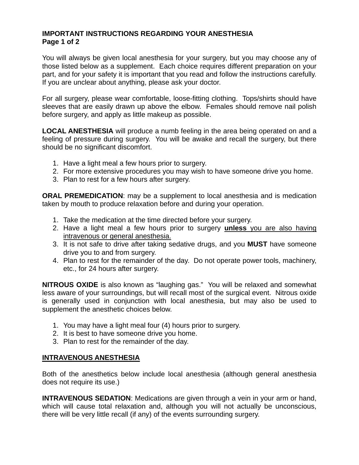## **IMPORTANT INSTRUCTIONS REGARDING YOUR ANESTHESIA Page 1 of 2**

You will always be given local anesthesia for your surgery, but you may choose any of those listed below as a supplement. Each choice requires different preparation on your part, and for your safety it is important that you read and follow the instructions carefully. If you are unclear about anything, please ask your doctor.

For all surgery, please wear comfortable, loose-fitting clothing. Tops/shirts should have sleeves that are easily drawn up above the elbow. Females should remove nail polish before surgery, and apply as little makeup as possible.

**LOCAL ANESTHESIA** will produce a numb feeling in the area being operated on and a feeling of pressure during surgery. You will be awake and recall the surgery, but there should be no significant discomfort.

- 1. Have a light meal a few hours prior to surgery.
- 2. For more extensive procedures you may wish to have someone drive you home.
- 3. Plan to rest for a few hours after surgery.

**ORAL PREMEDICATION**: may be a supplement to local anesthesia and is medication taken by mouth to produce relaxation before and during your operation.

- 1. Take the medication at the time directed before your surgery.
- 2. Have a light meal a few hours prior to surgery **unless** you are also having intravenous or general anesthesia.
- 3. It is not safe to drive after taking sedative drugs, and you **MUST** have someone drive you to and from surgery.
- 4. Plan to rest for the remainder of the day. Do not operate power tools, machinery, etc., for 24 hours after surgery.

**NITROUS OXIDE** is also known as "laughing gas." You will be relaxed and somewhat less aware of your surroundings, but will recall most of the surgical event. Nitrous oxide is generally used in conjunction with local anesthesia, but may also be used to supplement the anesthetic choices below.

- 1. You may have a light meal four (4) hours prior to surgery.
- 2. It is best to have someone drive you home.
- 3. Plan to rest for the remainder of the day.

## **INTRAVENOUS ANESTHESIA**

Both of the anesthetics below include local anesthesia (although general anesthesia does not require its use.)

**INTRAVENOUS SEDATION**: Medications are given through a vein in your arm or hand, which will cause total relaxation and, although you will not actually be unconscious, there will be very little recall (if any) of the events surrounding surgery.